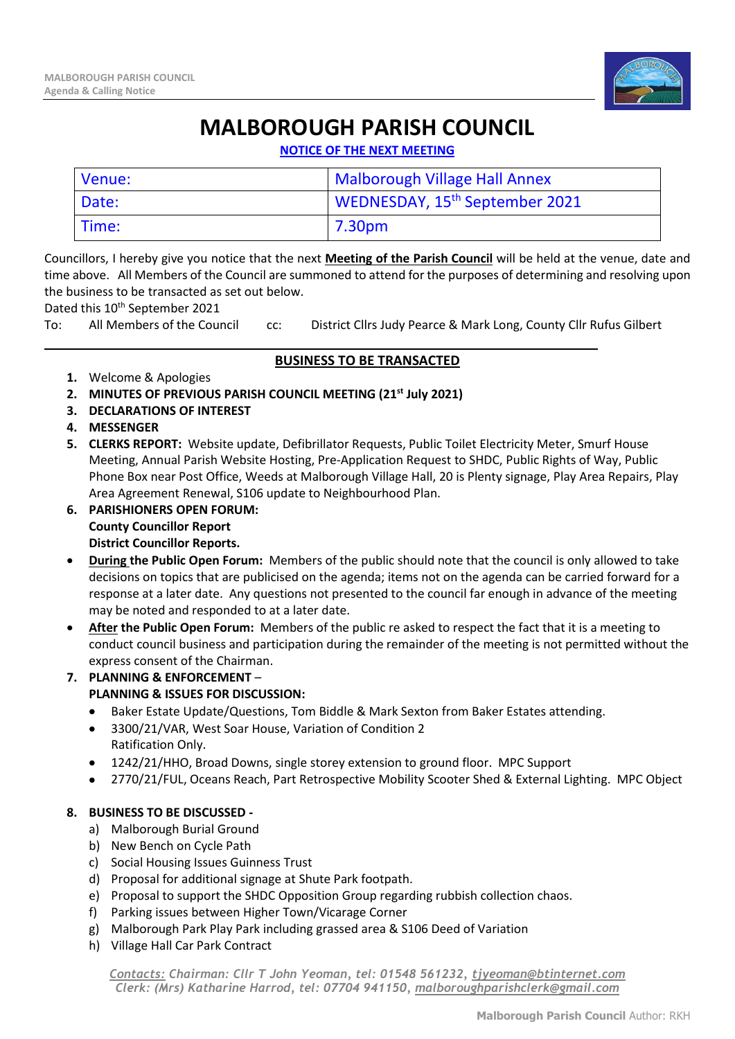

## **MALBOROUGH PARISH COUNCIL**

**NOTICE OF THE NEXT MEETING**

| Venue: | Malborough Village Hall Annex              |
|--------|--------------------------------------------|
| Date:  | WEDNESDAY, 15 <sup>th</sup> September 2021 |
| Time:  | 7.30pm                                     |

Councillors, I hereby give you notice that the next **Meeting of the Parish Council** will be held at the venue, date and time above. All Members of the Council are summoned to attend for the purposes of determining and resolving upon the business to be transacted as set out below.

Dated this 10<sup>th</sup> September 2021

To: All Members of the Council cc: District Cllrs Judy Pearce & Mark Long, County Cllr Rufus Gilbert

\_\_\_\_\_\_\_\_\_\_\_\_\_\_\_\_\_\_\_\_\_\_\_\_\_\_\_\_\_\_\_\_\_\_\_\_\_\_\_\_\_\_\_\_\_\_\_\_\_\_\_\_\_\_\_\_\_\_\_\_\_\_\_\_\_\_\_\_\_\_\_\_\_\_\_

## **BUSINESS TO BE TRANSACTED**

- **1.** Welcome & Apologies
- **2. MINUTES OF PREVIOUS PARISH COUNCIL MEETING (21 st July 2021)**
- **3. DECLARATIONS OF INTEREST**
- **4. MESSENGER**
- **5. CLERKS REPORT:** Website update, Defibrillator Requests, Public Toilet Electricity Meter, Smurf House Meeting, Annual Parish Website Hosting, Pre-Application Request to SHDC, Public Rights of Way, Public Phone Box near Post Office, Weeds at Malborough Village Hall, 20 is Plenty signage, Play Area Repairs, Play Area Agreement Renewal, S106 update to Neighbourhood Plan.
- **6. PARISHIONERS OPEN FORUM: County Councillor Report District Councillor Reports.**
- **During the Public Open Forum:** Members of the public should note that the council is only allowed to take decisions on topics that are publicised on the agenda; items not on the agenda can be carried forward for a response at a later date. Any questions not presented to the council far enough in advance of the meeting may be noted and responded to at a later date.
- **After the Public Open Forum:** Members of the public re asked to respect the fact that it is a meeting to conduct council business and participation during the remainder of the meeting is not permitted without the express consent of the Chairman.
- **7. PLANNING & ENFORCEMENT PLANNING & ISSUES FOR DISCUSSION:**
	- Baker Estate Update/Questions, Tom Biddle & Mark Sexton from Baker Estates attending.
	- 3300/21/VAR, West Soar House, Variation of Condition 2 Ratification Only.
	- 1242/21/HHO, Broad Downs, single storey extension to ground floor. MPC Support
	- 2770/21/FUL, Oceans Reach, Part Retrospective Mobility Scooter Shed & External Lighting. MPC Object

## **8. BUSINESS TO BE DISCUSSED -**

- a) Malborough Burial Ground
- b) New Bench on Cycle Path
- c) Social Housing Issues Guinness Trust
- d) Proposal for additional signage at Shute Park footpath.
- e) Proposal to support the SHDC Opposition Group regarding rubbish collection chaos.
- f) Parking issues between Higher Town/Vicarage Corner
- g) Malborough Park Play Park including grassed area & S106 Deed of Variation
- h) Village Hall Car Park Contract

*Contacts: Chairman: Cllr T John Yeoman, tel: 01548 561232, [tjyeoman@btinternet.com](mailto:tjyeoman@btinternet.com) Clerk: (Mrs) Katharine Harrod, tel: 07704 941150, [malboroughparishclerk@gmail.com](mailto:malboroughparishclerk@gmail.com)*